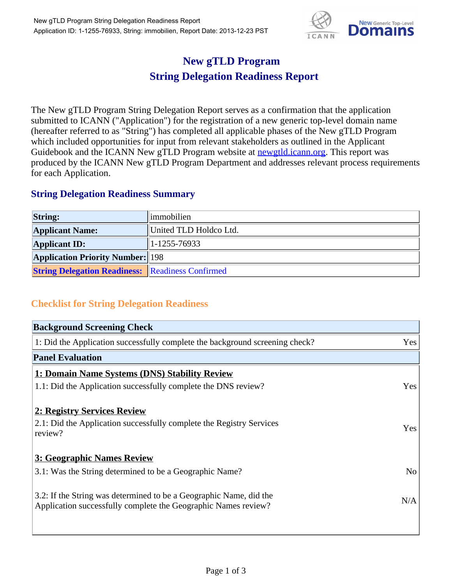

## **New gTLD Program String Delegation Readiness Report**

The New gTLD Program String Delegation Report serves as a confirmation that the application submitted to ICANN ("Application") for the registration of a new generic top-level domain name (hereafter referred to as "String") has completed all applicable phases of the New gTLD Program which included opportunities for input from relevant stakeholders as outlined in the Applicant Guidebook and the ICANN New gTLD Program website at **newgtld.jcann.org**. This report was produced by the ICANN New gTLD Program Department and addresses relevant process requirements for each Application.

## **String Delegation Readiness Summary**

| <b>String:</b>                                          | <i>limmobilien</i>     |
|---------------------------------------------------------|------------------------|
| <b>Applicant Name:</b>                                  | United TLD Holdco Ltd. |
| <b>Applicant ID:</b>                                    | $ 1-1255-76933 $       |
| <b>Application Priority Number:</b> 198                 |                        |
| <b>String Delegation Readiness: Readiness Confirmed</b> |                        |

## **Checklist for String Delegation Readiness**

| <b>Background Screening Check</b>                                               |                |
|---------------------------------------------------------------------------------|----------------|
| 1: Did the Application successfully complete the background screening check?    | Yes            |
| <b>Panel Evaluation</b>                                                         |                |
| 1: Domain Name Systems (DNS) Stability Review                                   |                |
| 1.1: Did the Application successfully complete the DNS review?                  | Yes            |
| 2: Registry Services Review                                                     |                |
|                                                                                 |                |
| 2.1: Did the Application successfully complete the Registry Services<br>review? | <b>Yes</b>     |
|                                                                                 |                |
| 3: Geographic Names Review                                                      |                |
| 3.1: Was the String determined to be a Geographic Name?                         | N <sub>0</sub> |
| 3.2: If the String was determined to be a Geographic Name, did the              |                |
| Application successfully complete the Geographic Names review?                  | N/A            |
|                                                                                 |                |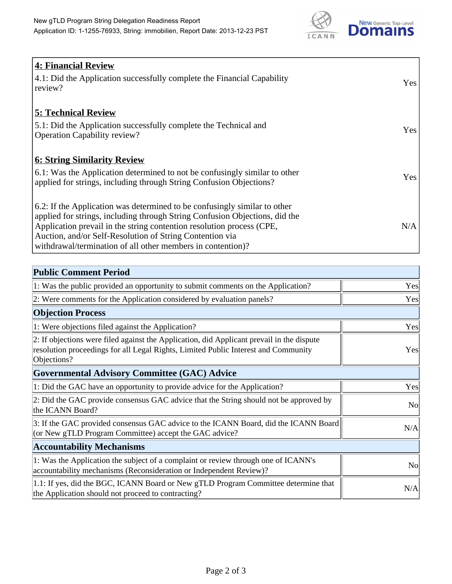

| <b>4: Financial Review</b><br>4.1: Did the Application successfully complete the Financial Capability<br>review?                                                                                                                                                                                                                                             | <b>Yes</b> |
|--------------------------------------------------------------------------------------------------------------------------------------------------------------------------------------------------------------------------------------------------------------------------------------------------------------------------------------------------------------|------------|
| <b>5: Technical Review</b><br>5.1: Did the Application successfully complete the Technical and<br><b>Operation Capability review?</b>                                                                                                                                                                                                                        | Yes        |
| <b>6: String Similarity Review</b><br>6.1: Was the Application determined to not be confusingly similar to other<br>applied for strings, including through String Confusion Objections?                                                                                                                                                                      | <b>Yes</b> |
| 6.2: If the Application was determined to be confusingly similar to other<br>applied for strings, including through String Confusion Objections, did the<br>Application prevail in the string contention resolution process (CPE,<br>Auction, and/or Self-Resolution of String Contention via<br>withdrawal/termination of all other members in contention)? | N/A        |

| <b>Public Comment Period</b>                                                                                                                                                                   |           |
|------------------------------------------------------------------------------------------------------------------------------------------------------------------------------------------------|-----------|
| 1: Was the public provided an opportunity to submit comments on the Application?                                                                                                               | Yes       |
| 2: Were comments for the Application considered by evaluation panels?                                                                                                                          | Yes       |
| <b>Objection Process</b>                                                                                                                                                                       |           |
| 1: Were objections filed against the Application?                                                                                                                                              | Yes       |
| 2: If objections were filed against the Application, did Applicant prevail in the dispute<br>resolution proceedings for all Legal Rights, Limited Public Interest and Community<br>Objections? | Yes       |
| <b>Governmental Advisory Committee (GAC) Advice</b>                                                                                                                                            |           |
| 1: Did the GAC have an opportunity to provide advice for the Application?                                                                                                                      | Yes       |
| 2: Did the GAC provide consensus GAC advice that the String should not be approved by<br>the ICANN Board?                                                                                      | <b>No</b> |
| 3: If the GAC provided consensus GAC advice to the ICANN Board, did the ICANN Board<br>(or New gTLD Program Committee) accept the GAC advice?                                                  | N/A       |
| <b>Accountability Mechanisms</b>                                                                                                                                                               |           |
| 1: Was the Application the subject of a complaint or review through one of ICANN's<br>accountability mechanisms (Reconsideration or Independent Review)?                                       | <b>No</b> |
| 1.1: If yes, did the BGC, ICANN Board or New gTLD Program Committee determine that<br>the Application should not proceed to contracting?                                                       | N/A       |